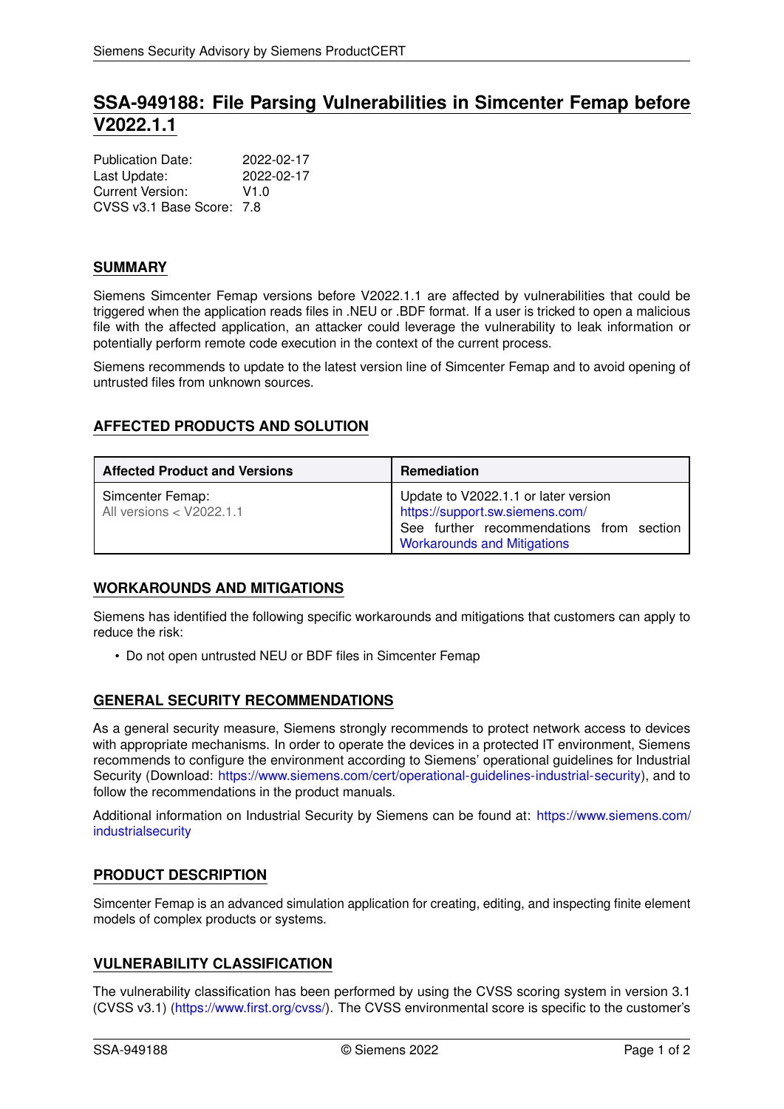# **SSA-949188: File Parsing Vulnerabilities in Simcenter Femap before V2022.1.1**

| <b>Publication Date:</b>  | 2022-02-17 |
|---------------------------|------------|
| Last Update:              | 2022-02-17 |
| Current Version:          | V1.0       |
| CVSS v3.1 Base Score: 7.8 |            |

# **SUMMARY**

Siemens Simcenter Femap versions before V2022.1.1 are affected by vulnerabilities that could be triggered when the application reads files in .NEU or .BDF format. If a user is tricked to open a malicious file with the affected application, an attacker could leverage the vulnerability to leak information or potentially perform remote code execution in the context of the current process.

Siemens recommends to update to the latest version line of Simcenter Femap and to avoid opening of untrusted files from unknown sources.

# **AFFECTED PRODUCTS AND SOLUTION**

| <b>Affected Product and Versions</b>         | Remediation                                                                                                                                               |
|----------------------------------------------|-----------------------------------------------------------------------------------------------------------------------------------------------------------|
| Simcenter Femap:<br>All versions < V2022.1.1 | Update to V2022.1.1 or later version<br>https://support.sw.siemens.com/<br>See further recommendations from section<br><b>Workarounds and Mitigations</b> |

# <span id="page-0-0"></span>**WORKAROUNDS AND MITIGATIONS**

Siemens has identified the following specific workarounds and mitigations that customers can apply to reduce the risk:

• Do not open untrusted NEU or BDF files in Simcenter Femap

# **GENERAL SECURITY RECOMMENDATIONS**

As a general security measure, Siemens strongly recommends to protect network access to devices with appropriate mechanisms. In order to operate the devices in a protected IT environment, Siemens recommends to configure the environment according to Siemens' operational guidelines for Industrial Security (Download: [https://www.siemens.com/cert/operational-guidelines-industrial-security\)](https://www.siemens.com/cert/operational-guidelines-industrial-security), and to follow the recommendations in the product manuals.

Additional information on Industrial Security by Siemens can be found at: [https://www.siemens.com/](https://www.siemens.com/industrialsecurity) [industrialsecurity](https://www.siemens.com/industrialsecurity)

# **PRODUCT DESCRIPTION**

Simcenter Femap is an advanced simulation application for creating, editing, and inspecting finite element models of complex products or systems.

# **VULNERABILITY CLASSIFICATION**

The vulnerability classification has been performed by using the CVSS scoring system in version 3.1 (CVSS v3.1) [\(https://www.first.org/cvss/\)](https://www.first.org/cvss/). The CVSS environmental score is specific to the customer's